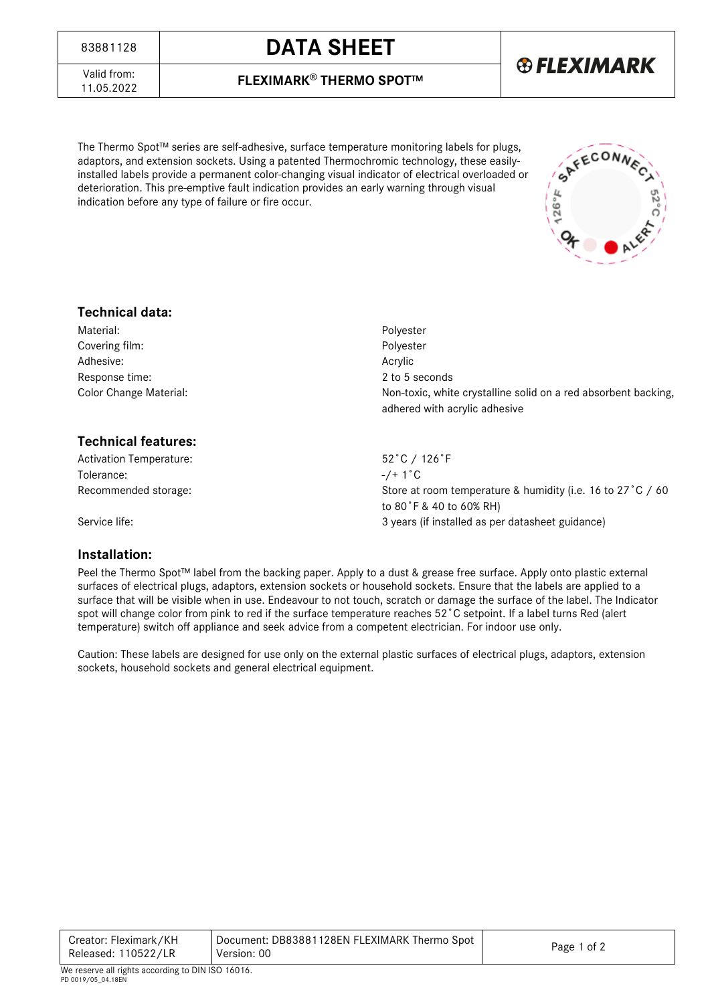## <sup>83881128</sup> **DATA SHEET**

**® FLEXIMARK** 

Valid from:<br>11.05.2022

11.05.2022 **FLEXIMARK**® **THERMO SPOT™**

The Thermo Spot™ series are self-adhesive, surface temperature monitoring labels for plugs, adaptors, and extension sockets. Using a patented Thermochromic technology, these easilyinstalled labels provide a permanent color-changing visual indicator of electrical overloaded or deterioration. This pre-emptive fault indication provides an early warning through visual indication before any type of failure or fire occur.



### **Technical data:**

| Material:                      | Polyester                                                                                       |  |  |
|--------------------------------|-------------------------------------------------------------------------------------------------|--|--|
| Covering film:                 | Polyester                                                                                       |  |  |
| Adhesive:                      | Acrylic                                                                                         |  |  |
| Response time:                 | 2 to 5 seconds                                                                                  |  |  |
| Color Change Material:         | Non-toxic, white crystalline solid on a red absorbent backing,<br>adhered with acrylic adhesive |  |  |
| <b>Technical features:</b>     |                                                                                                 |  |  |
| <b>Activation Temperature:</b> | 52°C / 126°F                                                                                    |  |  |
| Tolerance:                     | $-/- 1^{\circ}$ C                                                                               |  |  |
| Recommended storage:           | Store at room temperature & humidity (i.e. 16 to 27 °C / 60                                     |  |  |
|                                | to 80°F & 40 to 60% RH)                                                                         |  |  |

Service life:  $\sim$  3 years (if installed as per datasheet guidance)

#### **Installation:**

Peel the Thermo Spot™ label from the backing paper. Apply to a dust & grease free surface. Apply onto plastic external surfaces of electrical plugs, adaptors, extension sockets or household sockets. Ensure that the labels are applied to a surface that will be visible when in use. Endeavour to not touch, scratch or damage the surface of the label. The Indicator spot will change color from pink to red if the surface temperature reaches 52˚C setpoint. If a label turns Red (alert temperature) switch off appliance and seek advice from a competent electrician. For indoor use only.

Caution: These labels are designed for use only on the external plastic surfaces of electrical plugs, adaptors, extension sockets, household sockets and general electrical equipment.

| Creator: Fleximark/KH | Document: DB83881128EN FLEXIMARK Thermo Spot |             |  |
|-----------------------|----------------------------------------------|-------------|--|
| Released: 110522/LR   | Version: 00                                  | Page 1 of 2 |  |